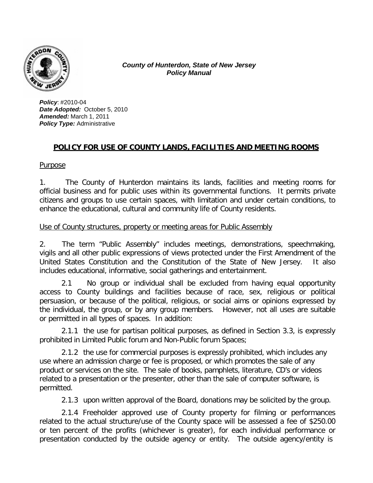

*County of Hunterdon, State of New Jersey Policy Manual*

*Policy*: #2010-04 *Date Adopted:* October 5, 2010 *Amended:* March 1, 2011 *Policy Type:* Administrative

# **POLICY FOR USE OF COUNTY LANDS, FACILITIES AND MEETING ROOMS**

#### Purpose

1. The County of Hunterdon maintains its lands, facilities and meeting rooms for official business and for public uses within its governmental functions. It permits private citizens and groups to use certain spaces, with limitation and under certain conditions, to enhance the educational, cultural and community life of County residents.

#### Use of County structures, property or meeting areas for Public Assembly

2. The term "Public Assembly" includes meetings, demonstrations, speechmaking, vigils and all other public expressions of views protected under the First Amendment of the United States Constitution and the Constitution of the State of New Jersey. It also includes educational, informative, social gatherings and entertainment.

2.1 No group or individual shall be excluded from having equal opportunity access to County buildings and facilities because of race, sex, religious or political persuasion, or because of the political, religious, or social aims or opinions expressed by the individual, the group, or by any group members. However, not all uses are suitable or permitted in all types of spaces. In addition:

2.1.1 the use for partisan political purposes, as defined in Section 3.3, is expressly prohibited in Limited Public forum and Non-Public forum Spaces;

2.1.2 the use for commercial purposes is expressly prohibited, which includes any use where an admission charge or fee is proposed, or which promotes the sale of any product or services on the site. The sale of books, pamphlets, literature, CD's or videos related to a presentation or the presenter, other than the sale of computer software, is permitted.

2.1.3 upon written approval of the Board, donations may be solicited by the group.

2.1.4 Freeholder approved use of County property for filming or performances related to the actual structure/use of the County space will be assessed a fee of \$250.00 or ten percent of the profits (whichever is greater), for each individual performance or presentation conducted by the outside agency or entity. The outside agency/entity is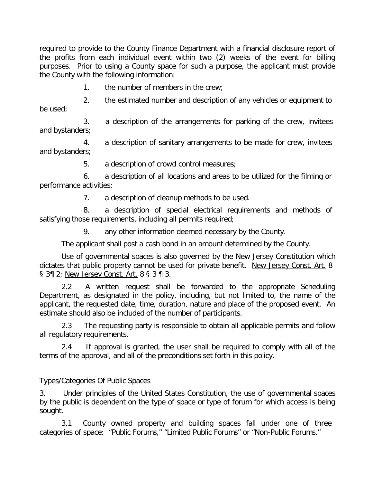required to provide to the County Finance Department with a financial disclosure report of the profits from each individual event within two (2) weeks of the event for billing purposes. Prior to using a County space for such a purpose, the applicant must provide the County with the following information:

1. the number of members in the crew;

2. the estimated number and description of any vehicles or equipment to be used;

3. a description of the arrangements for parking of the crew, invitees and bystanders;

4. a description of sanitary arrangements to be made for crew, invitees and bystanders;

5. a description of crowd control measures;

6. a description of all locations and areas to be utilized for the filming or performance activities;

7. a description of cleanup methods to be used.

8. a description of special electrical requirements and methods of satisfying those requirements, including all permits required;

9. any other information deemed necessary by the County.

The applicant shall post a cash bond in an amount determined by the County.

Use of governmental spaces is also governed by the New Jersey Constitution which dictates that public property cannot be used for private benefit. New Jersey Const. Art. 8 § 3¶ 2; New Jersey Const. Art. 8 § 3 ¶ 3.

2.2 A written request shall be forwarded to the appropriate Scheduling Department, as designated in the policy, including, but not limited to, the name of the applicant, the requested date, time, duration, nature and place of the proposed event. An estimate should also be included of the number of participants.

2.3 The requesting party is responsible to obtain all applicable permits and follow all regulatory requirements.

2.4 If approval is granted, the user shall be required to comply with all of the terms of the approval, and all of the preconditions set forth in this policy.

# Types/Categories Of Public Spaces

3. Under principles of the United States Constitution, the use of governmental spaces by the public is dependent on the type of space or type of forum for which access is being sought.

3.1 County owned property and building spaces fall under one of three categories of space: "Public Forums," "Limited Public Forums" or "Non-Public Forums."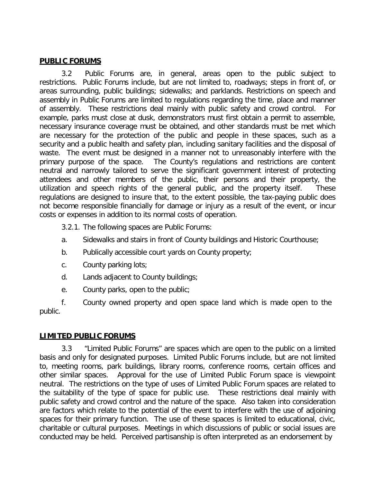#### **PUBLIC FORUMS**

3.2 Public Forums are, in general, areas open to the public subject to restrictions. Public Forums include, but are not limited to, roadways; steps in front of, or areas surrounding, public buildings; sidewalks; and parklands. Restrictions on speech and assembly in Public Forums are limited to regulations regarding the time, place and manner of assembly. These restrictions deal mainly with public safety and crowd control. For example, parks must close at dusk, demonstrators must first obtain a permit to assemble, necessary insurance coverage must be obtained, and other standards must be met which are necessary for the protection of the public and people in these spaces, such as a security and a public health and safety plan, including sanitary facilities and the disposal of waste. The event must be designed in a manner not to unreasonably interfere with the primary purpose of the space. The County's regulations and restrictions are content neutral and narrowly tailored to serve the significant government interest of protecting attendees and other members of the public, their persons and their property, the utilization and speech rights of the general public, and the property itself. These regulations are designed to insure that, to the extent possible, the tax-paying public does not become responsible financially for damage or injury as a result of the event, or incur costs or expenses in addition to its normal costs of operation.

3.2.1. The following spaces are Public Forums:

- a. Sidewalks and stairs in front of County buildings and Historic Courthouse;
- b. Publically accessible court yards on County property;
- c. County parking lots;
- d. Lands adjacent to County buildings;
- e. County parks, open to the public;

f. County owned property and open space land which is made open to the public.

# **LIMITED PUBLIC FORUMS**

3.3 "Limited Public Forums" are spaces which are open to the public on a limited basis and only for designated purposes. Limited Public Forums include, but are not limited to, meeting rooms, park buildings, library rooms, conference rooms, certain offices and other similar spaces. Approval for the use of Limited Public Forum space is viewpoint neutral. The restrictions on the type of uses of Limited Public Forum spaces are related to the suitability of the type of space for public use. These restrictions deal mainly with public safety and crowd control and the nature of the space. Also taken into consideration are factors which relate to the potential of the event to interfere with the use of adjoining spaces for their primary function. The use of these spaces is limited to educational, civic, charitable or cultural purposes. Meetings in which discussions of public or social issues are conducted may be held. Perceived partisanship is often interpreted as an endorsement by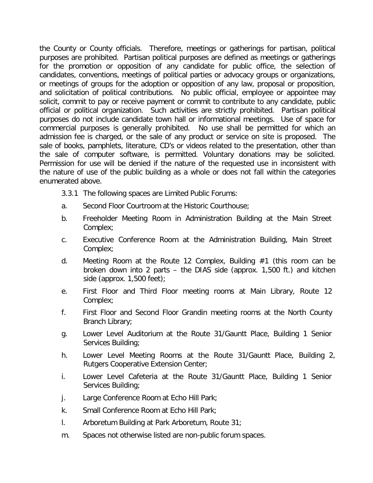the County or County officials. Therefore, meetings or gatherings for partisan, political purposes are prohibited. Partisan political purposes are defined as meetings or gatherings for the promotion or opposition of any candidate for public office, the selection of candidates, conventions, meetings of political parties or advocacy groups or organizations, or meetings of groups for the adoption or opposition of any law, proposal or proposition, and solicitation of political contributions. No public official, employee or appointee may solicit, commit to pay or receive payment or commit to contribute to any candidate, public official or political organization. Such activities are strictly prohibited. Partisan political purposes do not include candidate town hall or informational meetings. Use of space for commercial purposes is generally prohibited. No use shall be permitted for which an admission fee is charged, or the sale of any product or service on site is proposed. The sale of books, pamphlets, literature, CD's or videos related to the presentation, other than the sale of computer software, is permitted. Voluntary donations may be solicited. Permission for use will be denied if the nature of the requested use in inconsistent with the nature of use of the public building as a whole or does not fall within the categories enumerated above.

3.3.1 The following spaces are Limited Public Forums:

- a. Second Floor Courtroom at the Historic Courthouse;
- b. Freeholder Meeting Room in Administration Building at the Main Street Complex;
- c. Executive Conference Room at the Administration Building, Main Street Complex;
- d. Meeting Room at the Route 12 Complex, Building #1 (this room can be broken down into 2 parts – the DIAS side (approx. 1,500 ft.) and kitchen side (approx. 1,500 feet);
- e. First Floor and Third Floor meeting rooms at Main Library, Route 12 Complex;
- f. First Floor and Second Floor Grandin meeting rooms at the North County Branch Library;
- g. Lower Level Auditorium at the Route 31/Gauntt Place, Building 1 Senior Services Building;
- h. Lower Level Meeting Rooms at the Route 31/Gauntt Place, Building 2, Rutgers Cooperative Extension Center;
- i. Lower Level Cafeteria at the Route 31/Gauntt Place, Building 1 Senior Services Building;
- j. Large Conference Room at Echo Hill Park;
- k. Small Conference Room at Echo Hill Park;
- l. Arboretum Building at Park Arboretum, Route 31;
- m. Spaces not otherwise listed are non-public forum spaces.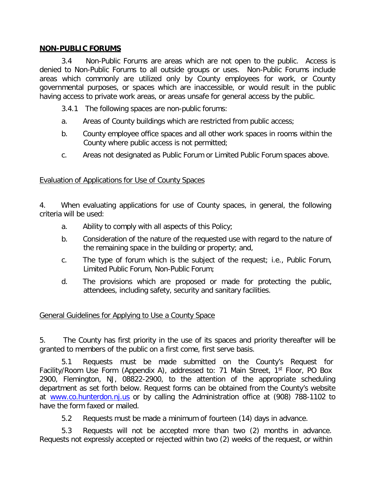#### **NON-PUBLIC FORUMS**

3.4 Non-Public Forums are areas which are not open to the public. Access is denied to Non-Public Forums to all outside groups or uses. Non-Public Forums include areas which commonly are utilized only by County employees for work, or County governmental purposes, or spaces which are inaccessible, or would result in the public having access to private work areas, or areas unsafe for general access by the public.

- 3.4.1 The following spaces are non-public forums:
- a. Areas of County buildings which are restricted from public access;
- b. County employee office spaces and all other work spaces in rooms within the County where public access is not permitted;
- c. Areas not designated as Public Forum or Limited Public Forum spaces above.

#### Evaluation of Applications for Use of County Spaces

4. When evaluating applications for use of County spaces, in general, the following criteria will be used:

- a. Ability to comply with all aspects of this Policy;
- b. Consideration of the nature of the requested use with regard to the nature of the remaining space in the building or property; and,
- c. The type of forum which is the subject of the request; i.e., Public Forum, Limited Public Forum, Non-Public Forum;
- d. The provisions which are proposed or made for protecting the public, attendees, including safety, security and sanitary facilities.

#### General Guidelines for Applying to Use a County Space

5. The County has first priority in the use of its spaces and priority thereafter will be granted to members of the public on a first come, first serve basis.

5.1 Requests must be made submitted on the County's Request for Facility/Room Use Form (Appendix A), addressed to: 71 Main Street, 1<sup>st</sup> Floor, PO Box 2900, Flemington, NJ, 08822-2900, to the attention of the appropriate scheduling department as set forth below. Request forms can be obtained from the County's website at [www.co.hunterdon.nj.us](http://www.co.hunterdon.nj.us/) or by calling the Administration office at (908) 788-1102 to have the form faxed or mailed.

5.2 Requests must be made a minimum of fourteen (14) days in advance.

5.3 Requests will not be accepted more than two (2) months in advance. Requests not expressly accepted or rejected within two (2) weeks of the request, or within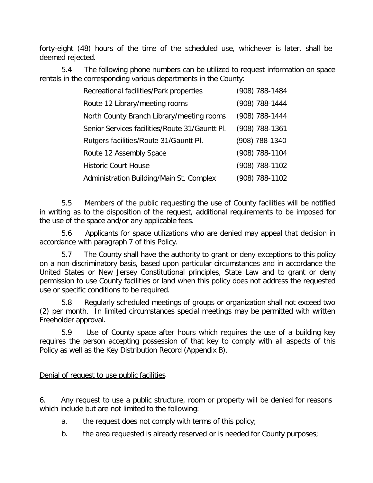forty-eight (48) hours of the time of the scheduled use, whichever is later, shall be deemed rejected.

5.4 The following phone numbers can be utilized to request information on space rentals in the corresponding various departments in the County:

| Recreational facilities/Park properties        | (908) 788-1484 |
|------------------------------------------------|----------------|
| Route 12 Library/meeting rooms                 | (908) 788-1444 |
| North County Branch Library/meeting rooms      | (908) 788-1444 |
| Senior Services facilities/Route 31/Gauntt Pl. | (908) 788-1361 |
| Rutgers facilities/Route 31/Gauntt Pl.         | (908) 788-1340 |
| Route 12 Assembly Space                        | (908) 788-1104 |
| <b>Historic Court House</b>                    | (908) 788-1102 |
| Administration Building/Main St. Complex       | (908) 788-1102 |

5.5 Members of the public requesting the use of County facilities will be notified in writing as to the disposition of the request, additional requirements to be imposed for the use of the space and/or any applicable fees.

5.6 Applicants for space utilizations who are denied may appeal that decision in accordance with paragraph 7 of this Policy.

5.7 The County shall have the authority to grant or deny exceptions to this policy on a non-discriminatory basis, based upon particular circumstances and in accordance the United States or New Jersey Constitutional principles, State Law and to grant or deny permission to use County facilities or land when this policy does not address the requested use or specific conditions to be required.

5.8 Regularly scheduled meetings of groups or organization shall not exceed two (2) per month. In limited circumstances special meetings may be permitted with written Freeholder approval.

5.9 Use of County space after hours which requires the use of a building key requires the person accepting possession of that key to comply with all aspects of this Policy as well as the Key Distribution Record (Appendix B).

# Denial of request to use public facilities

6. Any request to use a public structure, room or property will be denied for reasons which include but are not limited to the following:

- a. the request does not comply with terms of this policy;
- b. the area requested is already reserved or is needed for County purposes;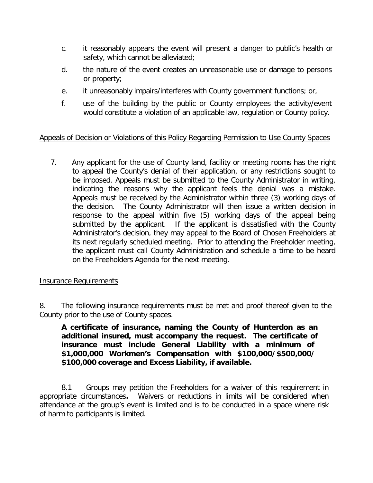- c. it reasonably appears the event will present a danger to public's health or safety, which cannot be alleviated;
- d. the nature of the event creates an unreasonable use or damage to persons or property;
- e. it unreasonably impairs/interferes with County government functions; or,
- f. use of the building by the public or County employees the activity/event would constitute a violation of an applicable law, regulation or County policy.

# Appeals of Decision or Violations of this Policy Regarding Permission to Use County Spaces

7. Any applicant for the use of County land, facility or meeting rooms has the right to appeal the County's denial of their application, or any restrictions sought to be imposed. Appeals must be submitted to the County Administrator in writing, indicating the reasons why the applicant feels the denial was a mistake. Appeals must be received by the Administrator within three (3) working days of the decision. The County Administrator will then issue a written decision in response to the appeal within five (5) working days of the appeal being submitted by the applicant. If the applicant is dissatisfied with the County Administrator's decision, they may appeal to the Board of Chosen Freeholders at its next regularly scheduled meeting. Prior to attending the Freeholder meeting, the applicant must call County Administration and schedule a time to be heard on the Freeholders Agenda for the next meeting.

#### Insurance Requirements

8. The following insurance requirements must be met and proof thereof given to the County prior to the use of County spaces.

**A certificate of insurance, naming the County of Hunterdon as an additional insured, must accompany the request. The certificate of insurance must include General Liability with a minimum of \$1,000,000 Workmen's Compensation with \$100,000/\$500,000/ \$100,000 coverage and Excess Liability, if available.**

8.1 Groups may petition the Freeholders for a waiver of this requirement in appropriate circumstances**.** Waivers or reductions in limits will be considered when attendance at the group's event is limited and is to be conducted in a space where risk of harm to participants is limited.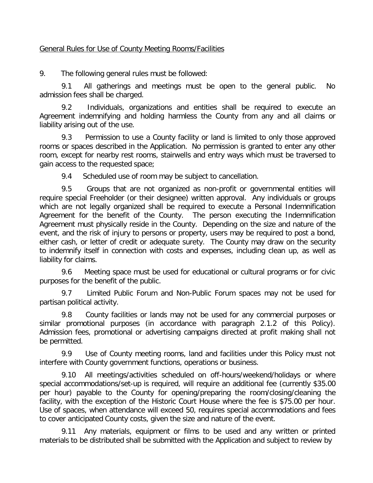#### General Rules for Use of County Meeting Rooms/Facilities

9. The following general rules must be followed:

9.1 All gatherings and meetings must be open to the general public. No admission fees shall be charged.

9.2 Individuals, organizations and entities shall be required to execute an Agreement indemnifying and holding harmless the County from any and all claims or liability arising out of the use.

9.3 Permission to use a County facility or land is limited to only those approved rooms or spaces described in the Application. No permission is granted to enter any other room, except for nearby rest rooms, stairwells and entry ways which must be traversed to gain access to the requested space;

9.4 Scheduled use of room may be subject to cancellation.

9.5 Groups that are not organized as non-profit or governmental entities will require special Freeholder (or their designee) written approval. Any individuals or groups which are not legally organized shall be required to execute a Personal Indemnification Agreement for the benefit of the County. The person executing the Indemnification Agreement must physically reside in the County. Depending on the size and nature of the event, and the risk of injury to persons or property, users may be required to post a bond, either cash, or letter of credit or adequate surety. The County may draw on the security to indemnify itself in connection with costs and expenses, including clean up, as well as liability for claims.

9.6 Meeting space must be used for educational or cultural programs or for civic purposes for the benefit of the public.

9.7 Limited Public Forum and Non-Public Forum spaces may not be used for partisan political activity.

9.8 County facilities or lands may not be used for any commercial purposes or similar promotional purposes (in accordance with paragraph 2.1.2 of this Policy). Admission fees, promotional or advertising campaigns directed at profit making shall not be permitted.

9.9 Use of County meeting rooms, land and facilities under this Policy must not interfere with County government functions, operations or business.

9.10 All meetings/activities scheduled on off-hours/weekend/holidays or where special accommodations/set-up is required, will require an additional fee (currently \$35.00 per hour) payable to the County for opening/preparing the room/closing/cleaning the facility, with the exception of the Historic Court House where the fee is \$75.00 per hour. Use of spaces, when attendance will exceed 50, requires special accommodations and fees to cover anticipated County costs, given the size and nature of the event.

9.11 Any materials, equipment or films to be used and any written or printed materials to be distributed shall be submitted with the Application and subject to review by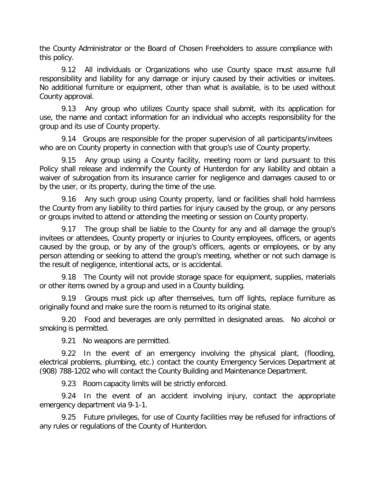the County Administrator or the Board of Chosen Freeholders to assure compliance with this policy.

9.12 All individuals or Organizations who use County space must assume full responsibility and liability for any damage or injury caused by their activities or invitees. No additional furniture or equipment, other than what is available, is to be used without County approval.

9.13 Any group who utilizes County space shall submit, with its application for use, the name and contact information for an individual who accepts responsibility for the group and its use of County property.

9.14 Groups are responsible for the proper supervision of all participants/invitees who are on County property in connection with that group's use of County property.

9.15 Any group using a County facility, meeting room or land pursuant to this Policy shall release and indemnify the County of Hunterdon for any liability and obtain a waiver of subrogation from its insurance carrier for negligence and damages caused to or by the user, or its property, during the time of the use.

9.16 Any such group using County property, land or facilities shall hold harmless the County from any liability to third parties for injury caused by the group, or any persons or groups invited to attend or attending the meeting or session on County property.

9.17 The group shall be liable to the County for any and all damage the group's invitees or attendees, County property or injuries to County employees, officers, or agents caused by the group, or by any of the group's officers, agents or employees, or by any person attending or seeking to attend the group's meeting, whether or not such damage is the result of negligence, intentional acts, or is accidental.

9.18 The County will not provide storage space for equipment, supplies, materials or other items owned by a group and used in a County building.

9.19 Groups must pick up after themselves, turn off lights, replace furniture as originally found and make sure the room is returned to its original state.

9.20 Food and beverages are only permitted in designated areas. No alcohol or smoking is permitted.

9.21 No weapons are permitted.

9.22 In the event of an emergency involving the physical plant, (flooding, electrical problems, plumbing, etc.) contact the county Emergency Services Department at (908) 788-1202 who will contact the County Building and Maintenance Department.

9.23 Room capacity limits will be strictly enforced.

9.24 In the event of an accident involving injury, contact the appropriate emergency department via 9-1-1.

9.25 Future privileges, for use of County facilities may be refused for infractions of any rules or regulations of the County of Hunterdon.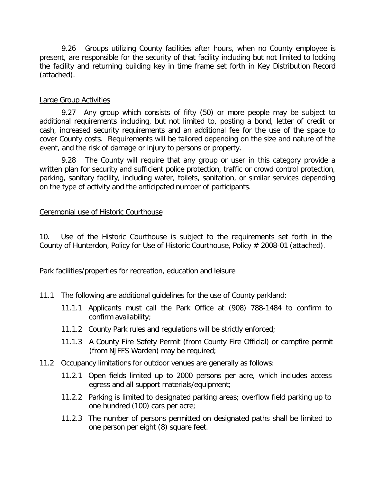9.26 Groups utilizing County facilities after hours, when no County employee is present, are responsible for the security of that facility including but not limited to locking the facility and returning building key in time frame set forth in Key Distribution Record (attached).

#### Large Group Activities

9.27 Any group which consists of fifty (50) or more people may be subject to additional requirements including, but not limited to, posting a bond, letter of credit or cash, increased security requirements and an additional fee for the use of the space to cover County costs. Requirements will be tailored depending on the size and nature of the event, and the risk of damage or injury to persons or property.

9.28 The County will require that any group or user in this category provide a written plan for security and sufficient police protection, traffic or crowd control protection, parking, sanitary facility, including water, toilets, sanitation, or similar services depending on the type of activity and the anticipated number of participants.

#### Ceremonial use of Historic Courthouse

10. Use of the Historic Courthouse is subject to the requirements set forth in the County of Hunterdon, Policy for Use of Historic Courthouse, Policy # 2008-01 (attached).

#### Park facilities/properties for recreation, education and leisure

- 11.1 The following are additional guidelines for the use of County parkland:
	- 11.1.1 Applicants must call the Park Office at (908) 788-1484 to confirm to confirm availability;
	- 11.1.2 County Park rules and regulations will be strictly enforced;
	- 11.1.3 A County Fire Safety Permit (from County Fire Official) or campfire permit (from NJFFS Warden) may be required;
- 11.2 Occupancy limitations for outdoor venues are generally as follows:
	- 11.2.1 Open fields limited up to 2000 persons per acre, which includes access egress and all support materials/equipment;
	- 11.2.2 Parking is limited to designated parking areas; overflow field parking up to one hundred (100) cars per acre;
	- 11.2.3 The number of persons permitted on designated paths shall be limited to one person per eight (8) square feet.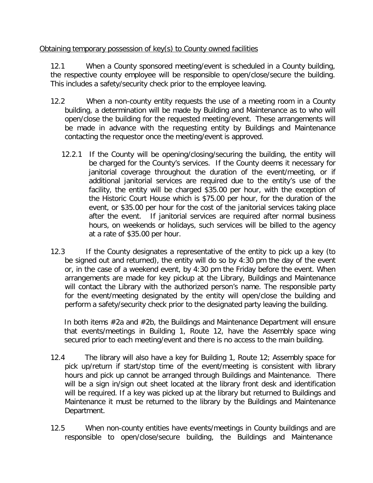# Obtaining temporary possession of key(s) to County owned facilities

12.1 When a County sponsored meeting/event is scheduled in a County building, the respective county employee will be responsible to open/close/secure the building. This includes a safety/security check prior to the employee leaving.

- 12.2 When a non-county entity requests the use of a meeting room in a County building, a determination will be made by Building and Maintenance as to who will open/close the building for the requested meeting/event. These arrangements will be made in advance with the requesting entity by Buildings and Maintenance contacting the requestor once the meeting/event is approved.
	- 12.2.1 If the County will be opening/closing/securing the building, the entity will be charged for the County's services. If the County deems it necessary for janitorial coverage throughout the duration of the event/meeting, or if additional janitorial services are required due to the entity's use of the facility, the entity will be charged \$35.00 per hour, with the exception of the Historic Court House which is \$75.00 per hour, for the duration of the event, or \$35.00 per hour for the cost of the janitorial services taking place after the event. If janitorial services are required after normal business hours, on weekends or holidays, such services will be billed to the agency at a rate of \$35.00 per hour.
- 12.3 If the County designates a representative of the entity to pick up a key (to be signed out and returned), the entity will do so by 4:30 pm the day of the event or, in the case of a weekend event, by 4:30 pm the Friday before the event. When arrangements are made for key pickup at the Library, Buildings and Maintenance will contact the Library with the authorized person's name. The responsible party for the event/meeting designated by the entity will open/close the building and perform a safety/security check prior to the designated party leaving the building.

In both items #2a and #2b, the Buildings and Maintenance Department will ensure that events/meetings in Building 1, Route 12, have the Assembly space wing secured prior to each meeting/event and there is no access to the main building.

- 12.4 The library will also have a key for Building 1, Route 12; Assembly space for pick up/return if start/stop time of the event/meeting is consistent with library hours and pick up cannot be arranged through Buildings and Maintenance. There will be a sign in/sign out sheet located at the library front desk and identification will be required. If a key was picked up at the library but returned to Buildings and Maintenance it must be returned to the library by the Buildings and Maintenance Department.
- 12.5 When non-county entities have events/meetings in County buildings and are responsible to open/close/secure building, the Buildings and Maintenance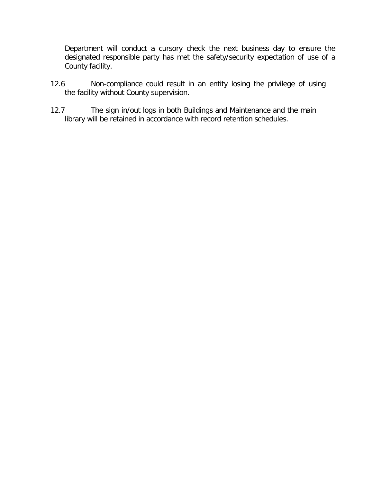Department will conduct a cursory check the next business day to ensure the designated responsible party has met the safety/security expectation of use of a County facility.

- 12.6 Non-compliance could result in an entity losing the privilege of using the facility without County supervision.
- 12.7 The sign in/out logs in both Buildings and Maintenance and the main library will be retained in accordance with record retention schedules.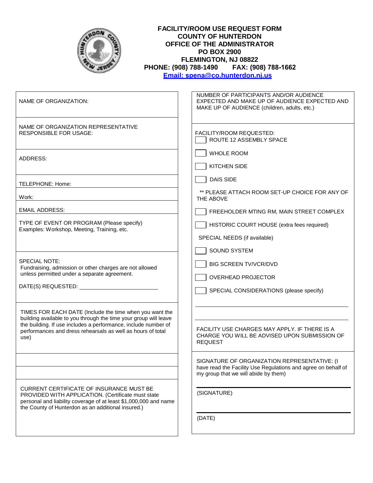| <b>FACILITY/ROOM USE REQUEST FORM</b><br><b>COUNTY OF HUNTERDON</b><br>OFFICE OF THE ADMINISTRATOR<br><b>PO BOX 2900</b><br>FLEMINGTON, NJ 08822<br>PHONE: (908) 788-1490    FAX: (908) 788-1662<br>Email: spena@co.hunterdon.nj.us                                  |                                                                                                                                                                      |  |
|----------------------------------------------------------------------------------------------------------------------------------------------------------------------------------------------------------------------------------------------------------------------|----------------------------------------------------------------------------------------------------------------------------------------------------------------------|--|
| NAME OF ORGANIZATION:                                                                                                                                                                                                                                                | NUMBER OF PARTICIPANTS AND/OR AUDIENCE<br>EXPECTED AND MAKE UP OF AUDIENCE EXPECTED AND<br>MAKE UP OF AUDIENCE (children, adults, etc.)                              |  |
| NAME OF ORGANIZATION REPRESENTATIVE<br><b>RESPONSIBLE FOR USAGE:</b>                                                                                                                                                                                                 | FACILITY/ROOM REQUESTED:<br>ROUTE 12 ASSEMBLY SPACE                                                                                                                  |  |
| ADDRESS:                                                                                                                                                                                                                                                             | <b>WHOLE ROOM</b><br><b>KITCHEN SIDE</b>                                                                                                                             |  |
| TELEPHONE: Home:<br>Work:                                                                                                                                                                                                                                            | <b>DAIS SIDE</b><br>** PLEASE ATTACH ROOM SET-UP CHOICE FOR ANY OF<br>THE ABOVE                                                                                      |  |
| <b>EMAIL ADDRESS:</b>                                                                                                                                                                                                                                                | FREEHOLDER MTING RM, MAIN STREET COMPLEX                                                                                                                             |  |
| TYPE OF EVENT OR PROGRAM (Please specify)<br>Examples: Workshop, Meeting, Training, etc.                                                                                                                                                                             | HISTORIC COURT HOUSE (extra fees required)<br>SPECIAL NEEDS (if available)<br><b>SOUND SYSTEM</b>                                                                    |  |
| <b>SPECIAL NOTE:</b><br>Fundraising, admission or other charges are not allowed<br>unless permitted under a separate agreement.<br>DATE(S) REQUESTED: [2000]                                                                                                         | <b>BIG SCREEN TV/VCR/DVD</b><br><b>OVERHEAD PROJECTOR</b><br>SPECIAL CONSIDERATIONS (please specify)                                                                 |  |
| TIMES FOR EACH DATE (Include the time when you want the<br>building available to you through the time your group will leave<br>the building. If use includes a performance, include number of<br>performances and dress rehearsals as well as hours of total<br>use) | FACILITY USE CHARGES MAY APPLY. IF THERE IS A<br>CHARGE YOU WILL BE ADVISED UPON SUBMISSION OF<br><b>REQUEST</b>                                                     |  |
| <b>CURRENT CERTIFICATE OF INSURANCE MUST BE</b><br>PROVIDED WITH APPLICATION. (Certificate must state<br>personal and liability coverage of at least \$1,000,000 and name                                                                                            | SIGNATURE OF ORGANIZATION REPRESENTATIVE: (I<br>have read the Facility Use Regulations and agree on behalf of<br>my group that we will abide by them)<br>(SIGNATURE) |  |
| the County of Hunterdon as an additional insured.)                                                                                                                                                                                                                   | (DATE)                                                                                                                                                               |  |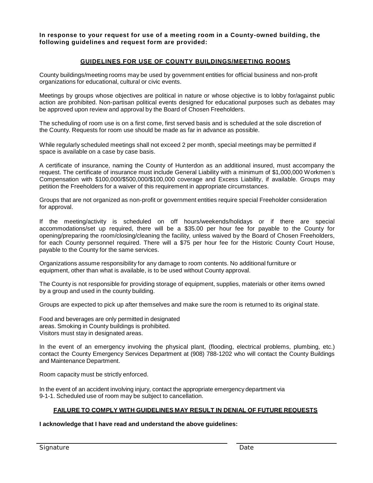**In response to your request for use of a meeting room in a County-owned building, the following guidelines and request form are provided:**

#### **GUIDELINES FOR USE OF COUNTY BUILDINGS/MEETING ROOMS**

County buildings/meeting rooms may be used by government entities for official business and non-profit organizations for educational, cultural or civic events.

Meetings by groups whose objectives are political in nature or whose objective is to lobby for/against public action are prohibited. Non-partisan political events designed for educational purposes such as debates may be approved upon review and approval by the Board of Chosen Freeholders.

The scheduling of room use is on a first come, first served basis and is scheduled at the sole discretion of the County. Requests for room use should be made as far in advance as possible.

While regularly scheduled meetings shall not exceed 2 per month, special meetings may be permitted if space is available on a case by case basis.

A certificate of insurance, naming the County of Hunterdon as an additional insured, must accompany the request. The certificate of insurance must include General Liability with a minimum of \$1,000,000 Workmen' s Compensation with \$100,000/\$500,000/\$100,000 coverage and Excess Liability, if available. Groups may petition the Freeholders for a waiver of this requirement in appropriate circumstances.

Groups that are not organized as non-profit or government entities require special Freeholder consideration for approval.

If the meeting/activity is scheduled on off hours/weekends/holidays or if there are special accommodations/set up required, there will be a \$35.00 per hour fee for payable to the County for opening/preparing the room/closing/cleaning the facility, unless waived by the Board of Chosen Freeholders, for each County personnel required. There will a \$75 per hour fee for the Historic County Court House, payable to the County for the same services.

Organizations assume responsibility for any damage to room contents. No additional furniture or equipment, other than what is available, is to be used without County approval.

The County is not responsible for providing storage of equipment, supplies, materials or other items owned by a group and used in the county building.

Groups are expected to pick up after themselves and make sure the room is returned to its original state.

Food and beverages are only permitted in designated areas. Smoking in County buildings is prohibited. Visitors must stay in designated areas.

In the event of an emergency involving the physical plant, (flooding, electrical problems, plumbing, etc.) contact the County Emergency Services Department at (908) 788-1202 who will contact the County Buildings and Maintenance Department.

Room capacity must be strictly enforced.

In the event of an accident involving injury, contact the appropriate emergency department via 9-1-1. Scheduled use of room may be subject to cancellation.

#### **FAILURE TO COMPLY WITH GUIDELINES MAY RESULT IN DENIAL OF FUTURE REQUESTS**

**I acknowledge that I have read and understand the above guidelines:**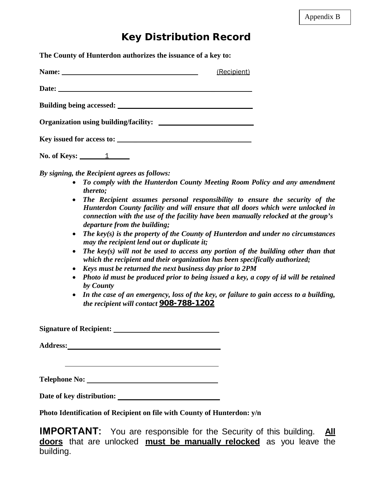# **Key Distribution Record**

**The County of Hunterdon authorizes the issuance of a key to:**

|                           | (Recipient) |
|---------------------------|-------------|
|                           |             |
|                           |             |
|                           |             |
| Key issued for access to: |             |

**No. of Keys:** 1

*By signing, the Recipient agrees as follows:*

- *To comply with the Hunterdon County Meeting Room Policy and any amendment thereto;*
- *The Recipient assumes personal responsibility to ensure the security of the Hunterdon County facility and will ensure that all doors which were unlocked in connection with the use of the facility have been manually relocked at the group's departure from the building;*
- *The key(s) is the property of the County of Hunterdon and under no circumstances may the recipient lend out or duplicate it;*
- *The key(s) will not be used to access any portion of the building other than that which the recipient and their organization has been specifically authorized;*
- *Keys must be returned the next business day prior to 2PM*
- *Photo id must be produced prior to being issued a key, a copy of id will be retained by County*
- *In the case of an emergency, loss of the key, or failure to gain access to a building, the recipient will contact* **908-788-1202**

**Signature of Recipient:**

**Address:**

**Telephone No:**

**Date of key distribution:** 

**Photo Identification of Recipient on file with County of Hunterdon: y/n**

**IMPORTANT:** You are responsible for the Security of this building. **All doors** that are unlocked **must be manually relocked** as you leave the building.